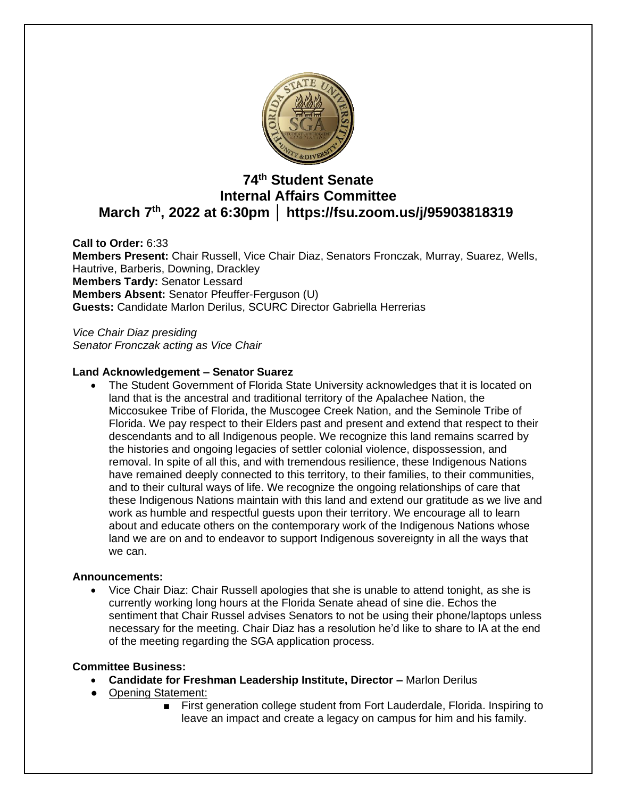

# **74 th Student Senate Internal Affairs Committee March 7th, 2022 at 6:30pm │ https://fsu.zoom.us/j/95903818319**

**Call to Order:** 6:33 **Members Present:** Chair Russell, Vice Chair Diaz, Senators Fronczak, Murray, Suarez, Wells, Hautrive, Barberis, Downing, Drackley **Members Tardy:** Senator Lessard **Members Absent:** Senator Pfeuffer-Ferguson (U) **Guests:** Candidate Marlon Derilus, SCURC Director Gabriella Herrerias

*Vice Chair Diaz presiding Senator Fronczak acting as Vice Chair*

# **Land Acknowledgement – Senator Suarez**

• The Student Government of Florida State University acknowledges that it is located on land that is the ancestral and traditional territory of the Apalachee Nation, the Miccosukee Tribe of Florida, the Muscogee Creek Nation, and the Seminole Tribe of Florida. We pay respect to their Elders past and present and extend that respect to their descendants and to all Indigenous people. We recognize this land remains scarred by the histories and ongoing legacies of settler colonial violence, dispossession, and removal. In spite of all this, and with tremendous resilience, these Indigenous Nations have remained deeply connected to this territory, to their families, to their communities, and to their cultural ways of life. We recognize the ongoing relationships of care that these Indigenous Nations maintain with this land and extend our gratitude as we live and work as humble and respectful guests upon their territory. We encourage all to learn about and educate others on the contemporary work of the Indigenous Nations whose land we are on and to endeavor to support Indigenous sovereignty in all the ways that we can.

# **Announcements:**

• Vice Chair Diaz: Chair Russell apologies that she is unable to attend tonight, as she is currently working long hours at the Florida Senate ahead of sine die. Echos the sentiment that Chair Russel advises Senators to not be using their phone/laptops unless necessary for the meeting. Chair Diaz has a resolution he'd like to share to IA at the end of the meeting regarding the SGA application process.

# **Committee Business:**

- **Candidate for Freshman Leadership Institute, Director –** Marlon Derilus
- Opening Statement:
	- First generation college student from Fort Lauderdale, Florida. Inspiring to leave an impact and create a legacy on campus for him and his family.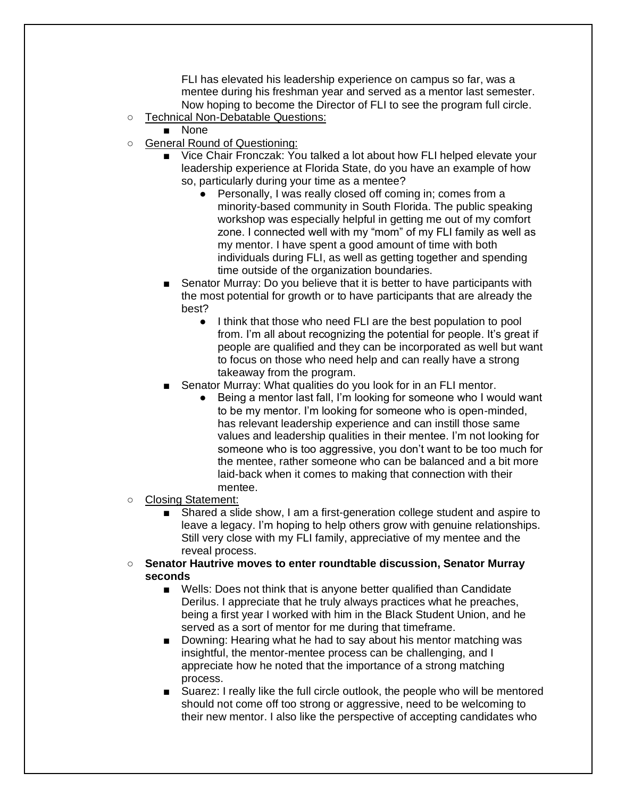FLI has elevated his leadership experience on campus so far, was a mentee during his freshman year and served as a mentor last semester. Now hoping to become the Director of FLI to see the program full circle.

- Technical Non-Debatable Questions:
	- None
- General Round of Questioning:
	- Vice Chair Fronczak: You talked a lot about how FLI helped elevate your leadership experience at Florida State, do you have an example of how so, particularly during your time as a mentee?
		- Personally, I was really closed off coming in; comes from a minority-based community in South Florida. The public speaking workshop was especially helpful in getting me out of my comfort zone. I connected well with my "mom" of my FLI family as well as my mentor. I have spent a good amount of time with both individuals during FLI, as well as getting together and spending time outside of the organization boundaries.
	- Senator Murray: Do you believe that it is better to have participants with the most potential for growth or to have participants that are already the best?
		- I think that those who need FLI are the best population to pool from. I'm all about recognizing the potential for people. It's great if people are qualified and they can be incorporated as well but want to focus on those who need help and can really have a strong takeaway from the program.
	- Senator Murray: What qualities do you look for in an FLI mentor.
		- Being a mentor last fall, I'm looking for someone who I would want to be my mentor. I'm looking for someone who is open-minded, has relevant leadership experience and can instill those same values and leadership qualities in their mentee. I'm not looking for someone who is too aggressive, you don't want to be too much for the mentee, rather someone who can be balanced and a bit more laid-back when it comes to making that connection with their mentee.
- Closing Statement:
	- Shared a slide show, I am a first-generation college student and aspire to leave a legacy. I'm hoping to help others grow with genuine relationships. Still very close with my FLI family, appreciative of my mentee and the reveal process.
- **Senator Hautrive moves to enter roundtable discussion, Senator Murray seconds**
	- Wells: Does not think that is anyone better qualified than Candidate Derilus. I appreciate that he truly always practices what he preaches, being a first year I worked with him in the Black Student Union, and he served as a sort of mentor for me during that timeframe.
	- Downing: Hearing what he had to say about his mentor matching was insightful, the mentor-mentee process can be challenging, and I appreciate how he noted that the importance of a strong matching process.
	- Suarez: I really like the full circle outlook, the people who will be mentored should not come off too strong or aggressive, need to be welcoming to their new mentor. I also like the perspective of accepting candidates who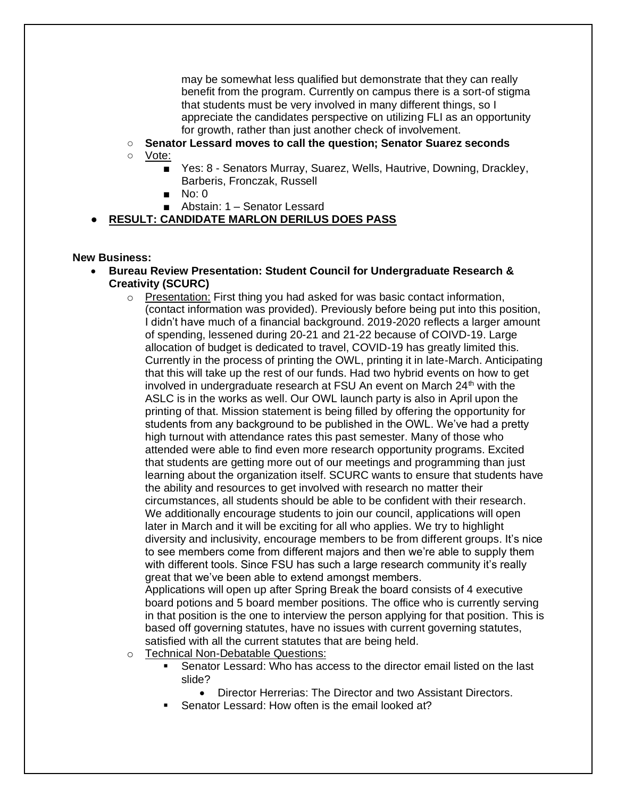may be somewhat less qualified but demonstrate that they can really benefit from the program. Currently on campus there is a sort-of stigma that students must be very involved in many different things, so I appreciate the candidates perspective on utilizing FLI as an opportunity for growth, rather than just another check of involvement.

- **Senator Lessard moves to call the question; Senator Suarez seconds**
- Vote:
	- Yes: 8 Senators Murray, Suarez, Wells, Hautrive, Downing, Drackley, Barberis, Fronczak, Russell
	- No: 0
	- Abstain: 1 Senator Lessard

# **RESULT: CANDIDATE MARLON DERILUS DOES PASS**

#### **New Business:**

- **Bureau Review Presentation: Student Council for Undergraduate Research & Creativity (SCURC)**
	- $\circ$  Presentation: First thing you had asked for was basic contact information, (contact information was provided). Previously before being put into this position, I didn't have much of a financial background. 2019-2020 reflects a larger amount of spending, lessened during 20-21 and 21-22 because of COIVD-19. Large allocation of budget is dedicated to travel, COVID-19 has greatly limited this. Currently in the process of printing the OWL, printing it in late-March. Anticipating that this will take up the rest of our funds. Had two hybrid events on how to get involved in undergraduate research at FSU An event on March  $24<sup>th</sup>$  with the ASLC is in the works as well. Our OWL launch party is also in April upon the printing of that. Mission statement is being filled by offering the opportunity for students from any background to be published in the OWL. We've had a pretty high turnout with attendance rates this past semester. Many of those who attended were able to find even more research opportunity programs. Excited that students are getting more out of our meetings and programming than just learning about the organization itself. SCURC wants to ensure that students have the ability and resources to get involved with research no matter their circumstances, all students should be able to be confident with their research. We additionally encourage students to join our council, applications will open later in March and it will be exciting for all who applies. We try to highlight diversity and inclusivity, encourage members to be from different groups. It's nice to see members come from different majors and then we're able to supply them with different tools. Since FSU has such a large research community it's really great that we've been able to extend amongst members. Applications will open up after Spring Break the board consists of 4 executive

board potions and 5 board member positions. The office who is currently serving in that position is the one to interview the person applying for that position. This is based off governing statutes, have no issues with current governing statutes, satisfied with all the current statutes that are being held.

- o Technical Non-Debatable Questions:
	- Senator Lessard: Who has access to the director email listed on the last slide?
		- Director Herrerias: The Director and two Assistant Directors.
	- Senator Lessard: How often is the email looked at?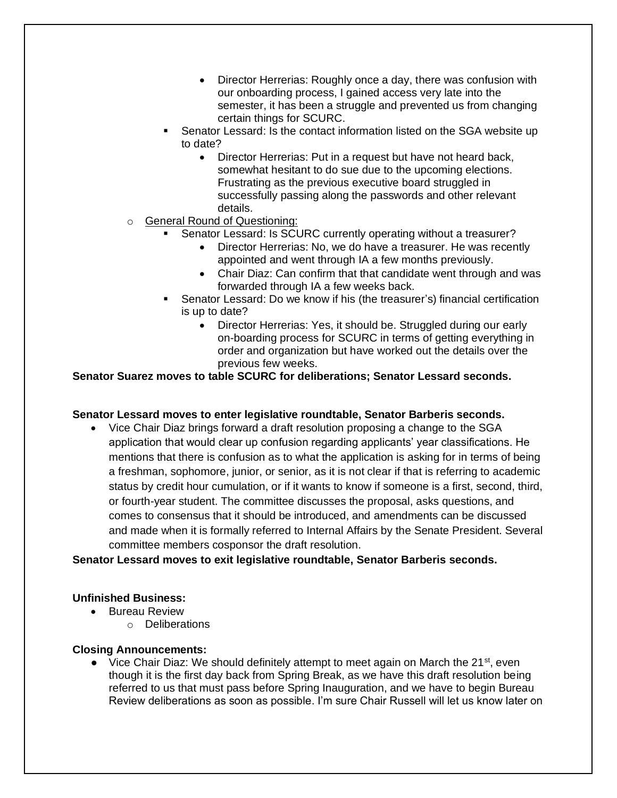- Director Herrerias: Roughly once a day, there was confusion with our onboarding process, I gained access very late into the semester, it has been a struggle and prevented us from changing certain things for SCURC.
- Senator Lessard: Is the contact information listed on the SGA website up to date?
	- Director Herrerias: Put in a request but have not heard back, somewhat hesitant to do sue due to the upcoming elections. Frustrating as the previous executive board struggled in successfully passing along the passwords and other relevant details.
- o General Round of Questioning:
	- Senator Lessard: Is SCURC currently operating without a treasurer?
		- Director Herrerias: No, we do have a treasurer. He was recently appointed and went through IA a few months previously.
		- Chair Diaz: Can confirm that that candidate went through and was forwarded through IA a few weeks back.
	- Senator Lessard: Do we know if his (the treasurer's) financial certification is up to date?
		- Director Herrerias: Yes, it should be. Struggled during our early on-boarding process for SCURC in terms of getting everything in order and organization but have worked out the details over the previous few weeks.

# **Senator Suarez moves to table SCURC for deliberations; Senator Lessard seconds.**

# **Senator Lessard moves to enter legislative roundtable, Senator Barberis seconds.**

• Vice Chair Diaz brings forward a draft resolution proposing a change to the SGA application that would clear up confusion regarding applicants' year classifications. He mentions that there is confusion as to what the application is asking for in terms of being a freshman, sophomore, junior, or senior, as it is not clear if that is referring to academic status by credit hour cumulation, or if it wants to know if someone is a first, second, third, or fourth-year student. The committee discusses the proposal, asks questions, and comes to consensus that it should be introduced, and amendments can be discussed and made when it is formally referred to Internal Affairs by the Senate President. Several committee members cosponsor the draft resolution.

# **Senator Lessard moves to exit legislative roundtable, Senator Barberis seconds.**

# **Unfinished Business:**

- Bureau Review
	- o Deliberations

#### **Closing Announcements:**

• Vice Chair Diaz: We should definitely attempt to meet again on March the 21<sup>st</sup>, even though it is the first day back from Spring Break, as we have this draft resolution being referred to us that must pass before Spring Inauguration, and we have to begin Bureau Review deliberations as soon as possible. I'm sure Chair Russell will let us know later on